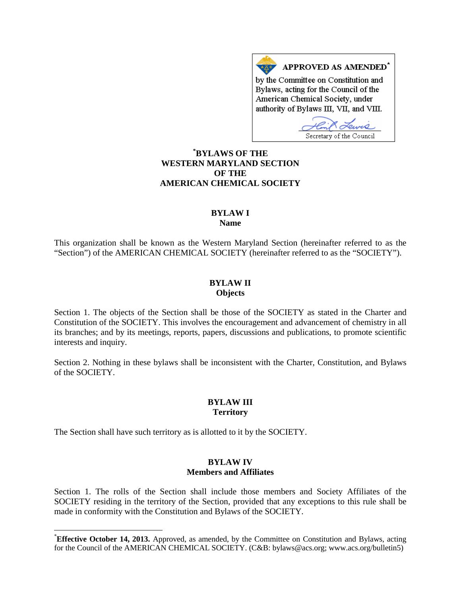APPROVED AS AMENDED\* by the Committee on Constitution and Bylaws, acting for the Council of the American Chemical Society, under authority of Bylaws III, VII, and VIII.

Secretary of the Council

# **[\\*](#page-0-0) BYLAWS OF THE WESTERN MARYLAND SECTION OF THE AMERICAN CHEMICAL SOCIETY**

#### **BYLAW I Name**

This organization shall be known as the Western Maryland Section (hereinafter referred to as the "Section") of the AMERICAN CHEMICAL SOCIETY (hereinafter referred to as the "SOCIETY").

### **BYLAW II Objects**

Section 1. The objects of the Section shall be those of the SOCIETY as stated in the Charter and Constitution of the SOCIETY. This involves the encouragement and advancement of chemistry in all its branches; and by its meetings, reports, papers, discussions and publications, to promote scientific interests and inquiry.

Section 2. Nothing in these bylaws shall be inconsistent with the Charter, Constitution, and Bylaws of the SOCIETY.

# **BYLAW III Territory**

The Section shall have such territory as is allotted to it by the SOCIETY.

### **BYLAW IV Members and Affiliates**

Section 1. The rolls of the Section shall include those members and Society Affiliates of the SOCIETY residing in the territory of the Section, provided that any exceptions to this rule shall be made in conformity with the Constitution and Bylaws of the SOCIETY.

<span id="page-0-0"></span> <sup>\*</sup> **Effective October 14, 2013.** Approved, as amended, by the Committee on Constitution and Bylaws, acting for the Council of the AMERICAN CHEMICAL SOCIETY. (C&B: bylaws@acs.org; www.acs.org/bulletin5)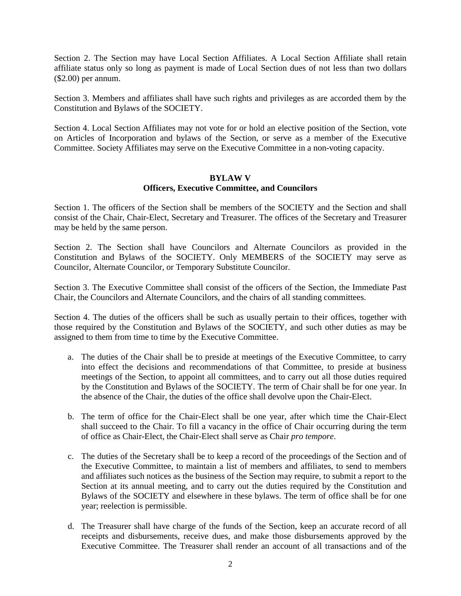Section 2. The Section may have Local Section Affiliates. A Local Section Affiliate shall retain affiliate status only so long as payment is made of Local Section dues of not less than two dollars (\$2.00) per annum.

Section 3. Members and affiliates shall have such rights and privileges as are accorded them by the Constitution and Bylaws of the SOCIETY.

Section 4. Local Section Affiliates may not vote for or hold an elective position of the Section, vote on Articles of Incorporation and bylaws of the Section, or serve as a member of the Executive Committee. Society Affiliates may serve on the Executive Committee in a non-voting capacity.

#### **BYLAW V Officers, Executive Committee, and Councilors**

Section 1. The officers of the Section shall be members of the SOCIETY and the Section and shall consist of the Chair, Chair-Elect, Secretary and Treasurer. The offices of the Secretary and Treasurer may be held by the same person.

Section 2. The Section shall have Councilors and Alternate Councilors as provided in the Constitution and Bylaws of the SOCIETY. Only MEMBERS of the SOCIETY may serve as Councilor, Alternate Councilor, or Temporary Substitute Councilor.

Section 3. The Executive Committee shall consist of the officers of the Section, the Immediate Past Chair, the Councilors and Alternate Councilors, and the chairs of all standing committees.

Section 4. The duties of the officers shall be such as usually pertain to their offices, together with those required by the Constitution and Bylaws of the SOCIETY, and such other duties as may be assigned to them from time to time by the Executive Committee.

- a. The duties of the Chair shall be to preside at meetings of the Executive Committee, to carry into effect the decisions and recommendations of that Committee, to preside at business meetings of the Section, to appoint all committees, and to carry out all those duties required by the Constitution and Bylaws of the SOCIETY. The term of Chair shall be for one year. In the absence of the Chair, the duties of the office shall devolve upon the Chair-Elect.
- b. The term of office for the Chair-Elect shall be one year, after which time the Chair-Elect shall succeed to the Chair. To fill a vacancy in the office of Chair occurring during the term of office as Chair-Elect, the Chair-Elect shall serve as Chair *pro tempore*.
- c. The duties of the Secretary shall be to keep a record of the proceedings of the Section and of the Executive Committee, to maintain a list of members and affiliates, to send to members and affiliates such notices as the business of the Section may require, to submit a report to the Section at its annual meeting, and to carry out the duties required by the Constitution and Bylaws of the SOCIETY and elsewhere in these bylaws. The term of office shall be for one year; reelection is permissible.
- d. The Treasurer shall have charge of the funds of the Section, keep an accurate record of all receipts and disbursements, receive dues, and make those disbursements approved by the Executive Committee. The Treasurer shall render an account of all transactions and of the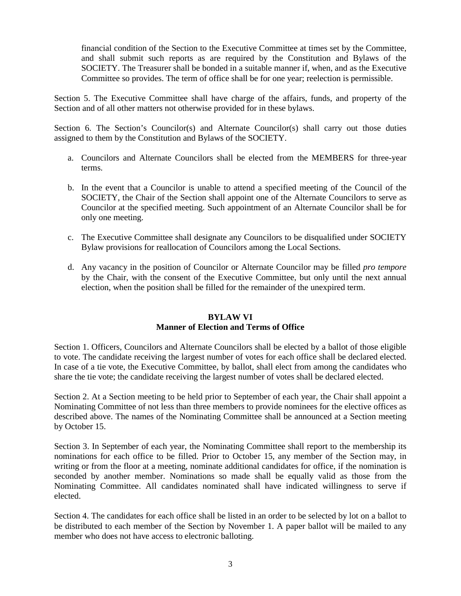financial condition of the Section to the Executive Committee at times set by the Committee, and shall submit such reports as are required by the Constitution and Bylaws of the SOCIETY. The Treasurer shall be bonded in a suitable manner if, when, and as the Executive Committee so provides. The term of office shall be for one year; reelection is permissible.

Section 5. The Executive Committee shall have charge of the affairs, funds, and property of the Section and of all other matters not otherwise provided for in these bylaws.

Section 6. The Section's Councilor(s) and Alternate Councilor(s) shall carry out those duties assigned to them by the Constitution and Bylaws of the SOCIETY.

- a. Councilors and Alternate Councilors shall be elected from the MEMBERS for three-year terms.
- b. In the event that a Councilor is unable to attend a specified meeting of the Council of the SOCIETY, the Chair of the Section shall appoint one of the Alternate Councilors to serve as Councilor at the specified meeting. Such appointment of an Alternate Councilor shall be for only one meeting.
- c. The Executive Committee shall designate any Councilors to be disqualified under SOCIETY Bylaw provisions for reallocation of Councilors among the Local Sections.
- d. Any vacancy in the position of Councilor or Alternate Councilor may be filled *pro tempore*  by the Chair, with the consent of the Executive Committee, but only until the next annual election, when the position shall be filled for the remainder of the unexpired term.

# **BYLAW VI**

# **Manner of Election and Terms of Office**

Section 1. Officers, Councilors and Alternate Councilors shall be elected by a ballot of those eligible to vote. The candidate receiving the largest number of votes for each office shall be declared elected. In case of a tie vote, the Executive Committee, by ballot, shall elect from among the candidates who share the tie vote; the candidate receiving the largest number of votes shall be declared elected.

Section 2. At a Section meeting to be held prior to September of each year, the Chair shall appoint a Nominating Committee of not less than three members to provide nominees for the elective offices as described above. The names of the Nominating Committee shall be announced at a Section meeting by October 15.

Section 3. In September of each year, the Nominating Committee shall report to the membership its nominations for each office to be filled. Prior to October 15, any member of the Section may, in writing or from the floor at a meeting, nominate additional candidates for office, if the nomination is seconded by another member. Nominations so made shall be equally valid as those from the Nominating Committee. All candidates nominated shall have indicated willingness to serve if elected.

Section 4. The candidates for each office shall be listed in an order to be selected by lot on a ballot to be distributed to each member of the Section by November 1. A paper ballot will be mailed to any member who does not have access to electronic balloting.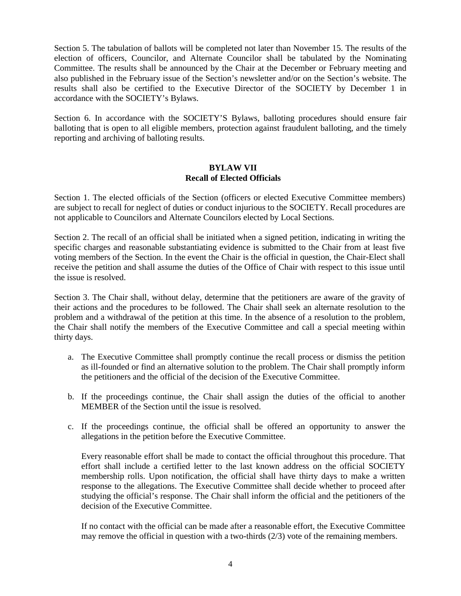Section 5. The tabulation of ballots will be completed not later than November 15. The results of the election of officers, Councilor, and Alternate Councilor shall be tabulated by the Nominating Committee. The results shall be announced by the Chair at the December or February meeting and also published in the February issue of the Section's newsletter and/or on the Section's website. The results shall also be certified to the Executive Director of the SOCIETY by December 1 in accordance with the SOCIETY's Bylaws.

Section 6. In accordance with the SOCIETY'S Bylaws, balloting procedures should ensure fair balloting that is open to all eligible members, protection against fraudulent balloting, and the timely reporting and archiving of balloting results.

### **BYLAW VII Recall of Elected Officials**

Section 1. The elected officials of the Section (officers or elected Executive Committee members) are subject to recall for neglect of duties or conduct injurious to the SOCIETY. Recall procedures are not applicable to Councilors and Alternate Councilors elected by Local Sections.

Section 2. The recall of an official shall be initiated when a signed petition, indicating in writing the specific charges and reasonable substantiating evidence is submitted to the Chair from at least five voting members of the Section. In the event the Chair is the official in question, the Chair-Elect shall receive the petition and shall assume the duties of the Office of Chair with respect to this issue until the issue is resolved.

Section 3. The Chair shall, without delay, determine that the petitioners are aware of the gravity of their actions and the procedures to be followed. The Chair shall seek an alternate resolution to the problem and a withdrawal of the petition at this time. In the absence of a resolution to the problem, the Chair shall notify the members of the Executive Committee and call a special meeting within thirty days.

- a. The Executive Committee shall promptly continue the recall process or dismiss the petition as ill-founded or find an alternative solution to the problem. The Chair shall promptly inform the petitioners and the official of the decision of the Executive Committee.
- b. If the proceedings continue, the Chair shall assign the duties of the official to another MEMBER of the Section until the issue is resolved.
- c. If the proceedings continue, the official shall be offered an opportunity to answer the allegations in the petition before the Executive Committee.

Every reasonable effort shall be made to contact the official throughout this procedure. That effort shall include a certified letter to the last known address on the official SOCIETY membership rolls. Upon notification, the official shall have thirty days to make a written response to the allegations. The Executive Committee shall decide whether to proceed after studying the official's response. The Chair shall inform the official and the petitioners of the decision of the Executive Committee.

If no contact with the official can be made after a reasonable effort, the Executive Committee may remove the official in question with a two-thirds (2/3) vote of the remaining members.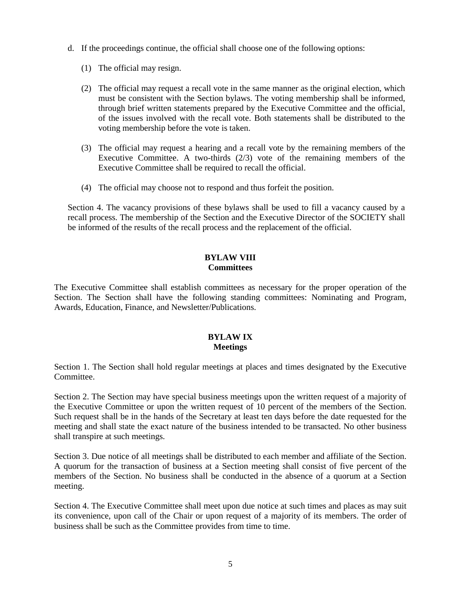- d. If the proceedings continue, the official shall choose one of the following options:
	- (1) The official may resign.
	- (2) The official may request a recall vote in the same manner as the original election, which must be consistent with the Section bylaws. The voting membership shall be informed, through brief written statements prepared by the Executive Committee and the official, of the issues involved with the recall vote. Both statements shall be distributed to the voting membership before the vote is taken.
	- (3) The official may request a hearing and a recall vote by the remaining members of the Executive Committee. A two-thirds (2/3) vote of the remaining members of the Executive Committee shall be required to recall the official.
	- (4) The official may choose not to respond and thus forfeit the position.

Section 4. The vacancy provisions of these bylaws shall be used to fill a vacancy caused by a recall process. The membership of the Section and the Executive Director of the SOCIETY shall be informed of the results of the recall process and the replacement of the official.

# **BYLAW VIII Committees**

The Executive Committee shall establish committees as necessary for the proper operation of the Section. The Section shall have the following standing committees: Nominating and Program, Awards, Education, Finance, and Newsletter/Publications.

### **BYLAW IX Meetings**

Section 1. The Section shall hold regular meetings at places and times designated by the Executive Committee.

Section 2. The Section may have special business meetings upon the written request of a majority of the Executive Committee or upon the written request of 10 percent of the members of the Section. Such request shall be in the hands of the Secretary at least ten days before the date requested for the meeting and shall state the exact nature of the business intended to be transacted. No other business shall transpire at such meetings.

Section 3. Due notice of all meetings shall be distributed to each member and affiliate of the Section. A quorum for the transaction of business at a Section meeting shall consist of five percent of the members of the Section. No business shall be conducted in the absence of a quorum at a Section meeting.

Section 4. The Executive Committee shall meet upon due notice at such times and places as may suit its convenience, upon call of the Chair or upon request of a majority of its members. The order of business shall be such as the Committee provides from time to time.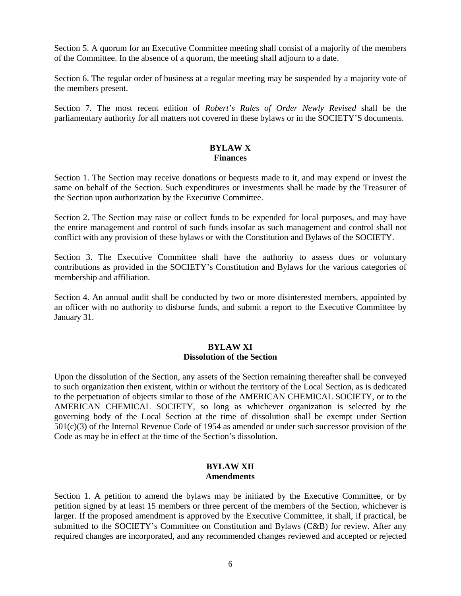Section 5. A quorum for an Executive Committee meeting shall consist of a majority of the members of the Committee. In the absence of a quorum, the meeting shall adjourn to a date.

Section 6. The regular order of business at a regular meeting may be suspended by a majority vote of the members present.

Section 7. The most recent edition of *Robert's Rules of Order Newly Revised* shall be the parliamentary authority for all matters not covered in these bylaws or in the SOCIETY'S documents.

### **BYLAW X Finances**

Section 1. The Section may receive donations or bequests made to it, and may expend or invest the same on behalf of the Section. Such expenditures or investments shall be made by the Treasurer of the Section upon authorization by the Executive Committee.

Section 2. The Section may raise or collect funds to be expended for local purposes, and may have the entire management and control of such funds insofar as such management and control shall not conflict with any provision of these bylaws or with the Constitution and Bylaws of the SOCIETY.

Section 3. The Executive Committee shall have the authority to assess dues or voluntary contributions as provided in the SOCIETY's Constitution and Bylaws for the various categories of membership and affiliation.

Section 4. An annual audit shall be conducted by two or more disinterested members, appointed by an officer with no authority to disburse funds, and submit a report to the Executive Committee by January 31.

# **BYLAW XI Dissolution of the Section**

Upon the dissolution of the Section, any assets of the Section remaining thereafter shall be conveyed to such organization then existent, within or without the territory of the Local Section, as is dedicated to the perpetuation of objects similar to those of the AMERICAN CHEMICAL SOCIETY, or to the AMERICAN CHEMICAL SOCIETY, so long as whichever organization is selected by the governing body of the Local Section at the time of dissolution shall be exempt under Section 501(c)(3) of the Internal Revenue Code of 1954 as amended or under such successor provision of the Code as may be in effect at the time of the Section's dissolution.

#### **BYLAW XII Amendments**

Section 1. A petition to amend the bylaws may be initiated by the Executive Committee, or by petition signed by at least 15 members or three percent of the members of the Section, whichever is larger. If the proposed amendment is approved by the Executive Committee, it shall, if practical, be submitted to the SOCIETY's Committee on Constitution and Bylaws (C&B) for review. After any required changes are incorporated, and any recommended changes reviewed and accepted or rejected